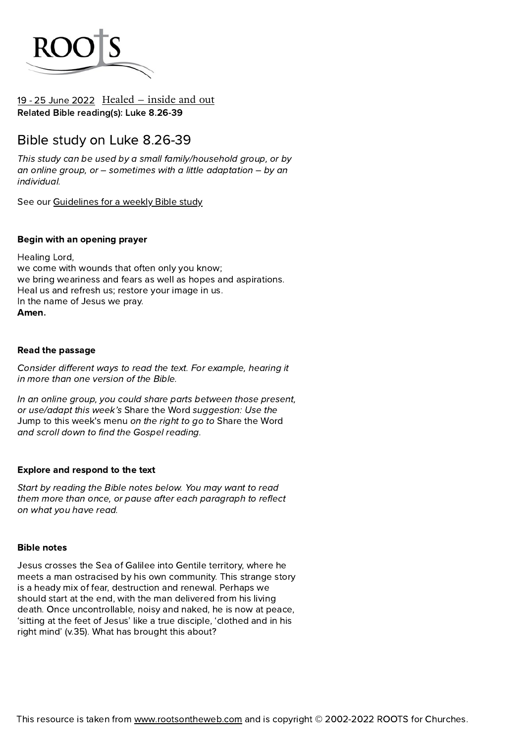

## 19 - 25 June [2022](https://www.rootsontheweb.com/lectionary/2022/119-may-june-2022-c/proper-7) [Healed](https://www.rootsontheweb.com/lectionary/2022/119-may-june-2022-c/proper-7) – inside and out Related Bible reading(s): Luke 8.26-39

## Bible study on Luke 8.26-39

This study can be used by a small family/household group, or by an online group, or  $-$  sometimes with a little adaptation  $-$  by an individual.

See our [Guidelines](https://www.rootsontheweb.com/media/22023/roots-bible-study-2021.pdf) for a weekly Bible study

## Begin with an opening prayer

Healing Lord, we come with wounds that often only you know; we bring weariness and fears as well as hopes and aspirations. Heal us and refresh us; restore your image in us. In the name of Jesus we pray. Amen.

## Read the passage

Consider different ways to read the text. For example, hearing it in more than one version of the Bible.

In an online group, you could share parts between those present, or use/adapt this week's Share the Word suggestion: Use the Jump to this week's menu on the right to go to Share the Word and scroll down to find the Gospel reading.

## Explore and respond to the text

Start by reading the Bible notes below. You may want to read them more than once, or pause after each paragraph to reflect on what you have read.

#### Bible notes

Jesus crosses the Sea of Galilee into Gentile territory, where he meets a man ostracised by his own community. This strange story is a heady mix of fear, destruction and renewal. Perhaps we should start at the end, with the man delivered from his living death. Once uncontrollable, noisy and naked, he is now at peace, 'sitting at the feet of Jesus' like a true disciple, 'clothed and in his right mind' (v.35). What has brought this about?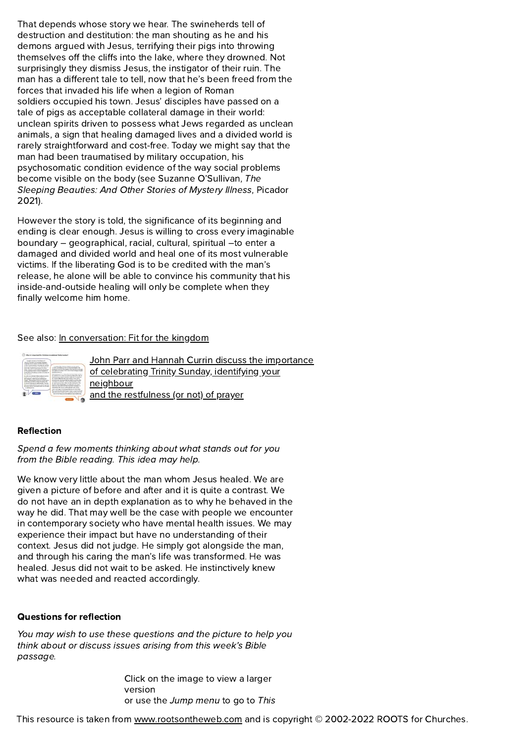That depends whose story we hear. The swineherds tell of destruction and destitution: the man shouting as he and his demons argued with Jesus, terrifying their pigs into throwing themselves off the cliffs into the lake, where they drowned. Not surprisingly they dismiss Jesus, the instigator of their ruin. The man has a different tale to tell, now that he's been freed from the forces that invaded his life when a legion of Roman soldiers occupied his town. Jesus' disciples have passed on a tale of pigs as acceptable collateral damage in their world: unclean spirits driven to possess what Jews regarded as unclean animals, a sign that healing damaged lives and a divided world is rarely straightforward and cost-free. Today we might say that the man had been traumatised by military occupation, his psychosomatic condition evidence of the way social problems become visible on the body (see Suzanne O'Sullivan, The Sleeping Beauties: And Other Stories of Mystery Illness, Picador 2021).

However the story is told, the significance of its beginning and ending is clear enough. Jesus is willing to cross every imaginable boundary – geographical, racial, cultural, spiritual –to enter a damaged and divided world and heal one of its most vulnerable victims. If the liberating God is to be credited with the man's release, he alone will be able to convince his community that his inside-and-outside healing will only be complete when they finally welcome him home.

#### See also: In [conversation:](https://www.rootsontheweb.com/lectionary/2022/120-july-august-2022-c/in-conversation-with-the-scriptures) Fit for the kingdom

| 8.0011.012019.0310                            |                                                  |
|-----------------------------------------------|--------------------------------------------------|
| una as posas i sé<br><b>LAB ARTICLE</b>       | as manufacturing things 14 days.                 |
| ×.                                            |                                                  |
|                                               | address to him, the<br>a shi marka               |
| <b><i>All Look Awdlers Advis As &amp;</i></b> |                                                  |
|                                               | said ad-at                                       |
|                                               | turn or tax force, but to be had our trave bodd. |

John Parr and Hannah Currin discuss the importance of [celebrating](https://www.rootsontheweb.com/lectionary/2022/120-july-august-2022-c/in-conversation-with-the-scriptures) Trinity Sunday, identifying your neighbour and the restfulness (or not) of prayer

## Reflection

Spend a few moments thinking about what stands out for you from the Bible reading. This idea may help.

We know very little about the man whom Jesus healed. We are given a picture of before and after and it is quite a contrast. We do not have an in depth explanation as to why he behaved in the way he did. That may well be the case with people we encounter in contemporary society who have mental health issues. We may experience their impact but have no understanding of their context. Jesus did not judge. He simply got alongside the man, and through his caring the man's life was transformed. He was healed. Jesus did not wait to be asked. He instinctively knew what was needed and reacted accordingly.

#### Questions for reflection

You may wish to use these questions and the picture to help you think about or discuss issues arising from this week's Bible passage.

> Click on the image to view a larger version or use the Jump menu to go to This

This resource is taken from [www.rootsontheweb.com](https://www.rootsontheweb.com/lectionary/2022/119-may-june-2022-c/proper-7/www.rootsontheweb.com) and is copyright © 2002-2022 ROOTS for Churches.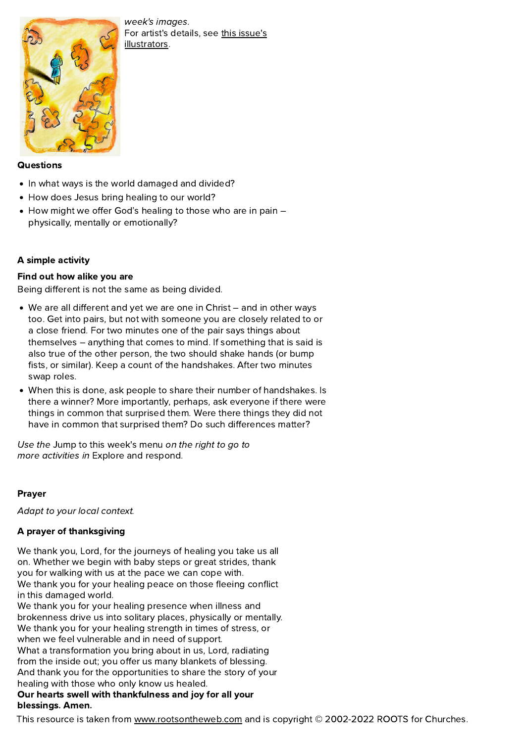

week's images. For artist's details, see this issue's [illustrators.](https://www.rootsontheweb.com/lectionary/2022/119-may-june-2022-c/issue-119-illustrators)

#### **Questions**

- In what ways is the world damaged and divided?
- How does Jesus bring healing to our world?
- How might we offer God's healing to those who are in pain physically, mentally or emotionally?

## A simple activity

## Find out how alike you are

Being different is not the same as being divided.

- We are all different and yet we are one in Christ and in other ways too. Get into pairs, but not with someone you are closely related to or a close friend. For two minutes one of the pair says things about themselves – anything that comes to mind. If something that is said is also true of the other person, the two should shake hands (or bump fists, or similar). Keep a count of the handshakes. After two minutes swap roles.
- When this is done, ask people to share their number of handshakes. Is there a winner? More importantly, perhaps, ask everyone if there were things in common that surprised them. Were there things they did not have in common that surprised them? Do such differences matter?

Use the Jump to this week's menu on the right to go to more activities in Explore and respond.

## Prayer

Adapt to your local context.

## A prayer of thanksgiving

We thank you, Lord, for the journeys of healing you take us all on. Whether we begin with baby steps or great strides, thank<br>you for walking with us at the pace we can cope with. We thank you for your healing peace on those fleeing conflict in this damaged world.<br>We thank you for your healing presence when illness and

brokenness drive us into solitary places, physically or mentally.<br>We thank you for your healing strength in times of stress, or<br>when we feel vulnerable and in need of support. What a transformation you bring about in us, Lord, radiating from the inside out; you offer us many blankets of blessing. And thank you for the opportunities to share the story of your

# healing with those who only know us healed.<br>Our hearts swell with thankfulness and joy for all your blessings. Amen.

This resource is taken from [www.rootsontheweb.com](https://www.rootsontheweb.com/lectionary/2022/119-may-june-2022-c/proper-7/www.rootsontheweb.com) and is copyright © 2002-2022 ROOTS for Churches.